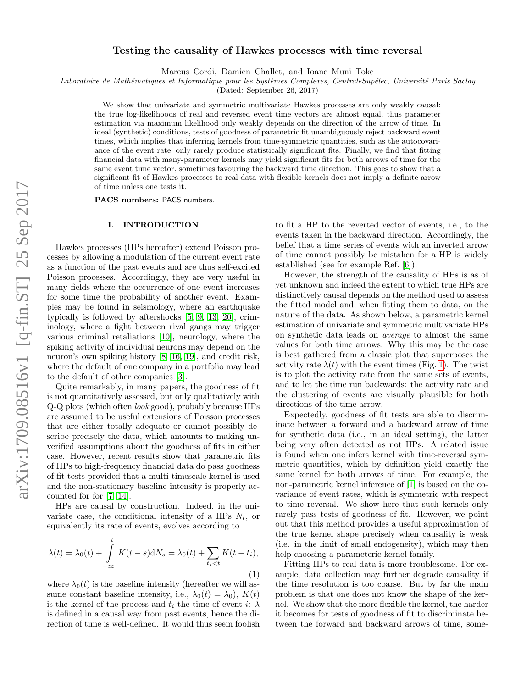# Testing the causality of Hawkes processes with time reversal

Marcus Cordi, Damien Challet, and Ioane Muni Toke

Laboratoire de Mathématiques et Informatique pour les Systèmes Complexes, CentraleSupélec, Université Paris Saclay

(Dated: September 26, 2017)

We show that univariate and symmetric multivariate Hawkes processes are only weakly causal: the true log-likelihoods of real and reversed event time vectors are almost equal, thus parameter estimation via maximum likelihood only weakly depends on the direction of the arrow of time. In ideal (synthetic) conditions, tests of goodness of parametric fit unambiguously reject backward event times, which implies that inferring kernels from time-symmetric quantities, such as the autocovariance of the event rate, only rarely produce statistically significant fits. Finally, we find that fitting financial data with many-parameter kernels may yield significant fits for both arrows of time for the same event time vector, sometimes favouring the backward time direction. This goes to show that a significant fit of Hawkes processes to real data with flexible kernels does not imply a definite arrow of time unless one tests it.

PACS numbers: PACS numbers.

# I. INTRODUCTION

Hawkes processes (HPs hereafter) extend Poisson processes by allowing a modulation of the current event rate as a function of the past events and are thus self-excited Poisson processes. Accordingly, they are very useful in many fields where the occurrence of one event increases for some time the probability of another event. Examples may be found in seismology, where an earthquake typically is followed by aftershocks [\[5,](#page-9-0) [9,](#page-9-1) [13,](#page-9-2) [20\]](#page-9-3), criminology, where a fight between rival gangs may trigger various criminal retaliations [\[10\]](#page-9-4), neurology, where the spiking activity of individual neurons may depend on the neuron's own spiking history [\[8,](#page-9-5) [16,](#page-9-6) [19\]](#page-9-7), and credit risk, where the default of one company in a portfolio may lead to the default of other companies [\[3\]](#page-9-8).

Quite remarkably, in many papers, the goodness of fit is not quantitatively assessed, but only qualitatively with Q-Q plots (which often look good), probably because HPs are assumed to be useful extensions of Poisson processes that are either totally adequate or cannot possibly describe precisely the data, which amounts to making unverified assumptions about the goodness of fits in either case. However, recent results show that parametric fits of HPs to high-frequency financial data do pass goodness of fit tests provided that a multi-timescale kernel is used and the non-stationary baseline intensity is properly accounted for for [\[7,](#page-9-9) [14\]](#page-9-10).

HPs are causal by construction. Indeed, in the univariate case, the conditional intensity of a HPs  $N_t$ , or equivalently its rate of events, evolves according to

$$
\lambda(t) = \lambda_0(t) + \int_{-\infty}^t K(t-s) dN_s = \lambda_0(t) + \sum_{t_i < t} K(t - t_i),
$$
\n(1)

where  $\lambda_0(t)$  is the baseline intensity (hereafter we will assume constant baseline intensity, i.e.,  $\lambda_0(t) = \lambda_0$ ,  $K(t)$ is the kernel of the process and  $t_i$  the time of event i:  $\lambda$ is defined in a causal way from past events, hence the direction of time is well-defined. It would thus seem foolish to fit a HP to the reverted vector of events, i.e., to the events taken in the backward direction. Accordingly, the belief that a time series of events with an inverted arrow of time cannot possibly be mistaken for a HP is widely established (see for example Ref. [\[6\]](#page-9-11)).

However, the strength of the causality of HPs is as of yet unknown and indeed the extent to which true HPs are distinctively causal depends on the method used to assess the fitted model and, when fitting them to data, on the nature of the data. As shown below, a parametric kernel estimation of univariate and symmetric multivariate HPs on synthetic data leads on average to almost the same values for both time arrows. Why this may be the case is best gathered from a classic plot that superposes the activity rate  $\lambda(t)$  with the event times (Fig. [1\)](#page-1-0). The twist is to plot the activity rate from the same sets of events, and to let the time run backwards: the activity rate and the clustering of events are visually plausible for both directions of the time arrow.

Expectedly, goodness of fit tests are able to discriminate between a forward and a backward arrow of time for synthetic data (i.e., in an ideal setting), the latter being very often detected as not HPs. A related issue is found when one infers kernel with time-reversal symmetric quantities, which by definition yield exactly the same kernel for both arrows of time. For example, the non-parametric kernel inference of [\[1\]](#page-9-12) is based on the covariance of event rates, which is symmetric with respect to time reversal. We show here that such kernels only rarely pass tests of goodness of fit. However, we point out that this method provides a useful approximation of the true kernel shape precisely when causality is weak (i.e. in the limit of small endogeneity), which may then help choosing a parameteric kernel family.

Fitting HPs to real data is more troublesome. For example, data collection may further degrade causality if the time resolution is too coarse. But by far the main problem is that one does not know the shape of the kernel. We show that the more flexible the kernel, the harder it becomes for tests of goodness of fit to discriminate between the forward and backward arrows of time, some-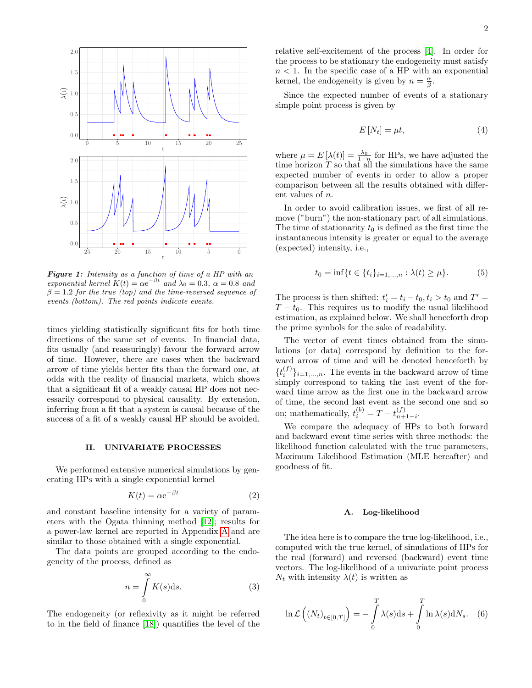<span id="page-1-0"></span>

Figure 1: Intensity as a function of time of a HP with an exponential kernel  $K(t) = \alpha e^{-\beta t}$  and  $\lambda_0 = 0.3$ ,  $\alpha = 0.8$  and  $\beta = 1.2$  for the true (top) and the time-reversed sequence of events (bottom). The red points indicate events.

times yielding statistically significant fits for both time directions of the same set of events. In financial data, fits usually (and reassuringly) favour the forward arrow of time. However, there are cases when the backward arrow of time yields better fits than the forward one, at odds with the reality of financial markets, which shows that a significant fit of a weakly causal HP does not necessarily correspond to physical causality. By extension, inferring from a fit that a system is causal because of the success of a fit of a weakly causal HP should be avoided.

### II. UNIVARIATE PROCESSES

We performed extensive numerical simulations by generating HPs with a single exponential kernel

$$
K(t) = \alpha e^{-\beta t} \tag{2}
$$

and constant baseline intensity for a variety of parameters with the Ogata thinning method [\[12\]](#page-9-13); results for a power-law kernel are reported in Appendix [A](#page-9-14) and are similar to those obtained with a single exponential.

The data points are grouped according to the endogeneity of the process, defined as

$$
n = \int_{0}^{\infty} K(s) \, \mathrm{d}s. \tag{3}
$$

The endogeneity (or reflexivity as it might be referred to in the field of finance [\[18\]](#page-9-15)) quantifies the level of the relative self-excitement of the process [\[4\]](#page-9-16). In order for the process to be stationary the endogeneity must satisfy  $n < 1$ . In the specific case of a HP with an exponential kernel, the endogeneity is given by  $n = \frac{\alpha}{\beta}$ .

Since the expected number of events of a stationary simple point process is given by

<span id="page-1-1"></span>
$$
E\left[N_t\right] = \mu t,\tag{4}
$$

where  $\mu = E[\lambda(t)] = \frac{\lambda_0}{1-n}$  for HPs, we have adjusted the time horizon  $T$  so that all the simulations have the same expected number of events in order to allow a proper comparison between all the results obtained with different values of n.

In order to avoid calibration issues, we first of all remove ("burn") the non-stationary part of all simulations. The time of stationarity  $t_0$  is defined as the first time the instantaneous intensity is greater or equal to the average (expected) intensity, i.e.,

$$
t_0 = \inf\{t \in \{t_i\}_{i=1,\dots,n} : \lambda(t) \ge \mu\}.
$$
 (5)

The process is then shifted:  $t'_{i} = t_{i} - t_{0}, t_{i} > t_{0}$  and  $T' =$  $T - t_0$ . This requires us to modify the usual likelihood estimation, as explained below. We shall henceforth drop the prime symbols for the sake of readability.

The vector of event times obtained from the simulations (or data) correspond by definition to the forward arrow of time and will be denoted henceforth by  $\{t_i^{(f)}\}_{i=1,\ldots,n}$ . The events in the backward arrow of time simply correspond to taking the last event of the forward time arrow as the first one in the backward arrow of time, the second last event as the second one and so on; mathematically,  $t_i^{(b)} = T - t_{n+1-i}^{(f)}$ .

We compare the adequacy of HPs to both forward and backward event time series with three methods: the likelihood function calculated with the true parameters, Maximum Likelihood Estimation (MLE hereafter) and goodness of fit.

### A. Log-likelihood

The idea here is to compare the true log-likelihood, i.e., computed with the true kernel, of simulations of HPs for the real (forward) and reversed (backward) event time vectors. The log-likelihood of a univariate point process  $N_t$  with intensity  $\lambda(t)$  is written as

$$
\ln \mathcal{L}\left(\left(N_t\right)_{t\in[0,T]}\right) = -\int\limits_0^T \lambda(s) \mathrm{d}s + \int\limits_0^T \ln \lambda(s) \mathrm{d}N_s. \quad (6)
$$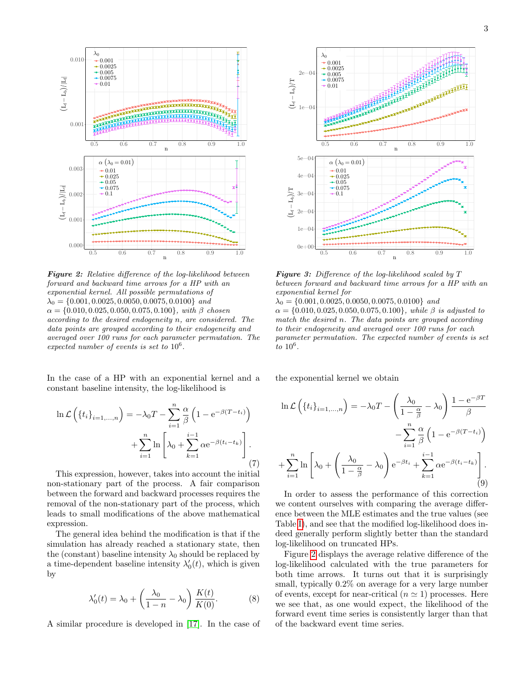<span id="page-2-0"></span>

Figure 2: Relative difference of the log-likelihood between forward and backward time arrows for a HP with an exponential kernel. All possible permutations of  $\lambda_0 = \{0.001, 0.0025, 0.0050, 0.0075, 0.0100\}$  and  $\alpha = \{0.010, 0.025, 0.050, 0.075, 0.100\}$ , with  $\beta$  chosen according to the desired endogeneity n, are considered. The data points are grouped according to their endogeneity and averaged over 100 runs for each parameter permutation. The expected number of events is set to  $10^6$ .

In the case of a HP with an exponential kernel and a constant baseline intensity, the log-likelihood is

$$
\ln \mathcal{L}\left(\left\{t_i\right\}_{i=1,\dots,n}\right) = -\lambda_0 T - \sum_{i=1}^n \frac{\alpha}{\beta} \left(1 - e^{-\beta(T-t_i)}\right) + \sum_{i=1}^n \ln \left[\lambda_0 + \sum_{k=1}^{i-1} \alpha e^{-\beta(t_i - t_k)}\right].
$$
\n(7)

This expression, however, takes into account the initial non-stationary part of the process. A fair comparison between the forward and backward processes requires the removal of the non-stationary part of the process, which leads to small modifications of the above mathematical expression.

The general idea behind the modification is that if the simulation has already reached a stationary state, then the (constant) baseline intensity  $\lambda_0$  should be replaced by a time-dependent baseline intensity  $\lambda'_0(t)$ , which is given by

$$
\lambda'_0(t) = \lambda_0 + \left(\frac{\lambda_0}{1 - n} - \lambda_0\right) \frac{K(t)}{K(0)}.
$$
 (8)

A similar procedure is developed in [\[17\]](#page-9-17). In the case of

<span id="page-2-1"></span>

Figure 3: Difference of the log-likelihood scaled by T between forward and backward time arrows for a HP with an exponential kernel for

 $\lambda_0 = \{0.001, 0.0025, 0.0050, 0.0075, 0.0100\}$  and  $\alpha = \{0.010, 0.025, 0.050, 0.075, 0.100\}$ , while  $\beta$  is adjusted to match the desired n. The data points are grouped according to their endogeneity and averaged over 100 runs for each parameter permutation. The expected number of events is set  $\overline{t}$  to  $10^6$ .

the exponential kernel we obtain

$$
\ln \mathcal{L}\left(\left\{t_i\right\}_{i=1,\dots,n}\right) = -\lambda_0 T - \left(\frac{\lambda_0}{1 - \frac{\alpha}{\beta}} - \lambda_0\right) \frac{1 - e^{-\beta T}}{\beta}
$$

$$
-\sum_{i=1}^n \frac{\alpha}{\beta} \left(1 - e^{-\beta (T - t_i)}\right)
$$

$$
+\sum_{i=1}^n \ln \left[\lambda_0 + \left(\frac{\lambda_0}{1 - \frac{\alpha}{\beta}} - \lambda_0\right) e^{-\beta t_i} + \sum_{k=1}^{i-1} \alpha e^{-\beta (t_i - t_k)}\right].
$$
(9)

In order to assess the performance of this correction we content ourselves with comparing the average difference between the MLE estimates and the true values (see Table [I\)](#page-3-0), and see that the modified log-likelihood does indeed generally perform slightly better than the standard log-likelihood on truncated HPs.

Figure [2](#page-2-0) displays the average relative difference of the log-likelihood calculated with the true parameters for both time arrows. It turns out that it is surprisingly small, typically 0.2% on average for a very large number of events, except for near-critical  $(n \approx 1)$  processes. Here we see that, as one would expect, the likelihood of the forward event time series is consistently larger than that of the backward event time series.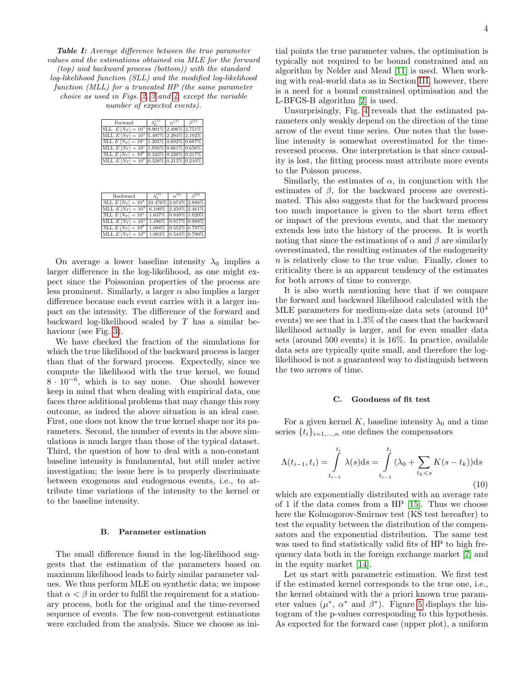<span id="page-3-0"></span>Table I: Average difference between the true parameter values and the estimations obtained via MLE for the forward (top) and backward process (bottom)) with the standard log-likelihood function (SLL) and the modified log-likelihood function (MLL) for a truncated HP (the same parameter choice as used in Figs. [2,](#page-2-0) [3](#page-2-1) and [4,](#page-4-0) except the variable number of expected events).

| Forward                                             | $\alpha^{(f)}$ | R(f) |
|-----------------------------------------------------|----------------|------|
| SLL. $E[N_T] = 10^4  9.901\%  2.496\%  2.751\% $    |                |      |
| MLL $E[N_T] = 10^4   5.497\%   2.294\%   2.192\%  $ |                |      |
| SLL $E[N_T] = 10^5  1.205\% 0.692\% 0.687\% $       |                |      |
| MLL $E[N_T] = 10^5  1.056\% 0.661\% 0.656\% $       |                |      |
| SLL $E[N_T] = 10^6  0.332\% 0.220\% 0.217\% $       |                |      |
| MLL $E[N_T] = 10^6  0.328\% 0.213\% 0.210\% $       |                |      |

| Backward                                            |                           | $\alpha^{(b)}$ | $\beta^{(b)}$ |
|-----------------------------------------------------|---------------------------|----------------|---------------|
| SLL $E[N_T] = 10^4  10.476\% 2.674\% 2.886\% $      |                           |                |               |
| MLL $E[N_T] = 10^4   6.100\%   2.450\%   2.461\%$   |                           |                |               |
| SLL $E[N_T] = 10^5   1.637\%   0.849\%   1.020\%  $ |                           |                |               |
| MLL $E[N_T] = 10^5   1.496\%   0.817\%   0.988\%$   |                           |                |               |
| SLL $E[N_T] = 10^6$                                 | $1.088\%$ 0.552\% 0.797\% |                |               |
| MLL $E[N_T] = 10^6   1.083\%   0.544\%   0.790\%  $ |                           |                |               |

On average a lower baseline intensity  $\lambda_0$  implies a larger difference in the log-likelihood, as one might expect since the Poissonian properties of the process are less prominent. Similarly, a larger  $\alpha$  also implies a larger difference because each event carries with it a larger impact on the intensity. The difference of the forward and backward log-likelihood scaled by T has a similar be-haviour (see Fig. [3\)](#page-2-1).

We have checked the fraction of the simulations for which the true likelihood of the backward process is larger than that of the forward process. Expectedly, since we compute the likelihood with the true kernel, we found  $8 \cdot 10^{-6}$ , which is to say none. One should however keep in mind that when dealing with empirical data, one faces three additional problems that may change this rosy outcome, as indeed the above situation is an ideal case. First, one does not know the true kernel shape nor its parameters. Second, the number of events in the above simulations is much larger than those of the typical dataset. Third, the question of how to deal with a non-constant baseline intensity is fundamental, but still under active investigation; the issue here is to properly discriminate between exogenous and endogenous events, i.e., to attribute time variations of the intensity to the kernel or to the baseline intensity.

### B. Parameter estimation

The small difference found in the log-likelihood suggests that the estimation of the parameters based on maximum likelihood leads to fairly similar parameter values. We thus perform MLE on synthetic data; we impose that  $\alpha < \beta$  in order to fulfil the requirement for a stationary process, both for the original and the time-reversed sequence of events. The few non-convergent estimations were excluded from the analysis. Since we choose as ini-

tial points the true parameter values, the optimisation is typically not required to be bound constrained and an algorithm by Nelder and Mead [\[11\]](#page-9-18) is used. When working with real-world data as in Section [III,](#page-6-0) however, there is a need for a bound constrained optimisation and the L-BFGS-B algorithm [\[2\]](#page-9-19) is used.

Unsurprisingly, Fig. [4](#page-4-0) reveals that the estimated parameters only weakly depend on the direction of the time arrow of the event time series. One notes that the baseline intensity is somewhat overestimated for the timereversed process. One interpretation is that since causality is lost, the fitting process must attribute more events to the Poisson process.

Similarly, the estimates of  $\alpha$ , in conjunction with the estimates of  $\beta$ , for the backward process are overestimated. This also suggests that for the backward process too much importance is given to the short term effect or impact of the previous events, and that the memory extends less into the history of the process. It is worth noting that since the estimations of  $\alpha$  and  $\beta$  are similarly overestimated, the resulting estimates of the endogeneity n is relatively close to the true value. Finally, closer to criticality there is an apparent tendency of the estimates for both arrows of time to converge.

It is also worth mentioning here that if we compare the forward and backward likelihood calculated with the MLE parameters for medium-size data sets (around 10<sup>4</sup> events) we see that in 1.3% of the cases that the backward likelihood actually is larger, and for even smaller data sets (around 500 events) it is 16%. In practice, available data sets are typically quite small, and therefore the loglikelihood is not a guaranteed way to distinguish between the two arrows of time.

#### C. Goodness of fit test

For a given kernel K, baseline intensity  $\lambda_0$  and a time series  $\{t_i\}_{i=1,...,n}$  one defines the compensators

<span id="page-3-1"></span>
$$
\Lambda(t_{i-1}, t_i) = \int_{t_{i-1}}^{t_i} \lambda(s) \, \mathrm{d}s = \int_{t_{i-1}}^{t_i} (\lambda_0 + \sum_{t_k < s} K(s - t_k)) \, \mathrm{d}s \tag{10}
$$

which are exponentially distributed with an average rate of 1 if the data comes from a HP [\[15\]](#page-9-20). Thus we choose here the Kolmogorov-Smirnov test (KS test hereafter) to test the equality between the distribution of the compensators and the exponential distribution. The same test was used to find statistically valid fits of HP to high frequency data both in the foreign exchange market [\[7\]](#page-9-9) and in the equity market [\[14\]](#page-9-10).

Let us start with parametric estimation. We first test if the estimated kernel corresponds to the true one, i.e., the kernel obtained with the a priori known true parameter values  $(\mu^*, \alpha^* \text{ and } \beta^*)$ . Figure [5](#page-4-1) displays the histogram of the p-values corresponding to this hypothesis. As expected for the forward case (upper plot), a uniform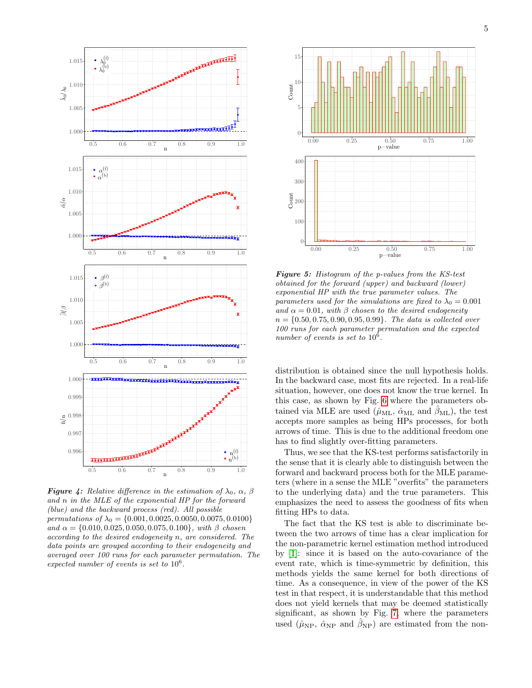<span id="page-4-0"></span>

**Figure 4:** Relative difference in the estimation of  $\lambda_0$ ,  $\alpha$ ,  $\beta$ and n in the MLE of the exponential HP for the forward (blue) and the backward process (red). All possible permutations of  $\lambda_0 = \{0.001, 0.0025, 0.0050, 0.0075, 0.0100\}$ and  $\alpha = \{0.010, 0.025, 0.050, 0.075, 0.100\}$ , with  $\beta$  chosen according to the desired endogeneity n, are considered. The data points are grouped according to their endogeneity and averaged over 100 runs for each parameter permutation. The expected number of events is set to  $10^6$ .

<span id="page-4-1"></span>

**Figure 5:** Histogram of the p-values from the KS-test obtained for the forward (upper) and backward (lower) exponential HP with the true parameter values. The parameters used for the simulations are fixed to  $\lambda_0 = 0.001$ and  $\alpha = 0.01$ , with  $\beta$  chosen to the desired endogeneity  $n = \{0.50, 0.75, 0.90, 0.95, 0.99\}$ . The data is collected over 100 runs for each parameter permutation and the expected number of events is set to  $10^6$ .

distribution is obtained since the null hypothesis holds. In the backward case, most fits are rejected. In a real-life situation, however, one does not know the true kernel. In this case, as shown by Fig. [6](#page-5-0) where the parameters obtained via MLE are used  $(\hat{\mu}_{ML}, \hat{\alpha}_{ML})$  and  $\hat{\beta}_{ML}$ , the test accepts more samples as being HPs processes, for both arrows of time. This is due to the additional freedom one has to find slightly over-fitting parameters.

Thus, we see that the KS-test performs satisfactorily in the sense that it is clearly able to distinguish between the forward and backward process both for the MLE parameters (where in a sense the MLE "overfits" the parameters to the underlying data) and the true parameters. This emphasizes the need to assess the goodness of fits when fitting HPs to data.

The fact that the KS test is able to discriminate between the two arrows of time has a clear implication for the non-parametric kernel estimation method introduced by [\[1\]](#page-9-12): since it is based on the auto-covariance of the event rate, which is time-symmetric by definition, this methods yields the same kernel for both directions of time. As a consequence, in view of the power of the KS test in that respect, it is understandable that this method does not yield kernels that may be deemed statistically significant, as shown by Fig. [7,](#page-5-1) where the parameters used ( $\hat{\mu}_{\rm NP}$ ,  $\hat{\alpha}_{\rm NP}$  and  $\hat{\beta}_{\rm NP}$ ) are estimated from the non-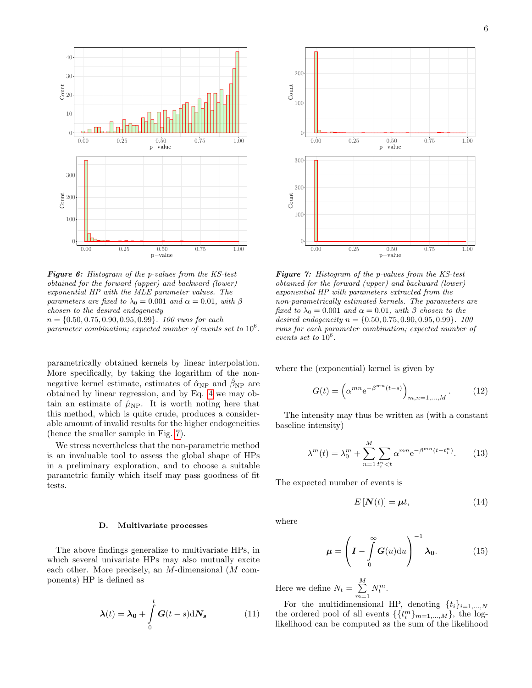<span id="page-5-0"></span>

**Figure 6:** Histogram of the p-values from the KS-test obtained for the forward (upper) and backward (lower) exponential HP with the MLE parameter values. The parameters are fixed to  $\lambda_0 = 0.001$  and  $\alpha = 0.01$ , with  $\beta$ chosen to the desired endogeneity  $n = \{0.50, 0.75, 0.90, 0.95, 0.99\}$ . 100 runs for each parameter combination; expected number of events set to  $10^6$ .

parametrically obtained kernels by linear interpolation. More specifically, by taking the logarithm of the nonnegative kernel estimate, estimates of  $\hat{\alpha}_{NP}$  and  $\hat{\beta}_{NP}$  are obtained by linear regression, and by Eq. [4](#page-1-1) we may obtain an estimate of  $\hat{\mu}_{NP}$ . It is worth noting here that this method, which is quite crude, produces a considerable amount of invalid results for the higher endogeneities (hence the smaller sample in Fig. [7\)](#page-5-1).

We stress nevertheless that the non-parametric method is an invaluable tool to assess the global shape of HPs in a preliminary exploration, and to choose a suitable parametric family which itself may pass goodness of fit tests.

## D. Multivariate processes

The above findings generalize to multivariate HPs, in which several univariate HPs may also mutually excite each other. More precisely, an M-dimensional (M components) HP is defined as

$$
\boldsymbol{\lambda}(t) = \boldsymbol{\lambda_0} + \int_{0}^{t} \boldsymbol{G}(t-s) \, \mathrm{d}N_s \tag{11}
$$

<span id="page-5-1"></span>

**Figure 7:** Histogram of the p-values from the KS-test obtained for the forward (upper) and backward (lower) exponential HP with parameters extracted from the non-parametrically estimated kernels. The parameters are fixed to  $\lambda_0 = 0.001$  and  $\alpha = 0.01$ , with  $\beta$  chosen to the desired endogeneity  $n = \{0.50, 0.75, 0.90, 0.95, 0.99\}$ . 100 runs for each parameter combination; expected number of events set to  $10^6$ .

where the (exponential) kernel is given by

$$
G(t) = \left(\alpha^{mn} e^{-\beta^{mn}(t-s)}\right)_{m,n=1,\ldots,M}.
$$
 (12)

The intensity may thus be written as (with a constant baseline intensity)

$$
\lambda^{m}(t) = \lambda_{0}^{m} + \sum_{n=1}^{M} \sum_{t_{i}^{n} < t} \alpha^{mn} e^{-\beta^{mn}(t - t_{i}^{n})}.
$$
 (13)

The expected number of events is

$$
E\left[\mathbf{N}(t)\right] = \boldsymbol{\mu}t,\tag{14}
$$

where

$$
\mu = \left(I - \int_{0}^{\infty} G(u) \mathrm{d}u\right)^{-1} \lambda_0.
$$
 (15)

Here we define  $N_t = \sum_{i=1}^{M}$  $\sum_{m=1} N_t^m$ .

For the multidimensional HP, denoting  $\{t_i\}_{i=1,\ldots,N}$ the ordered pool of all events  $\{\{t_i^m\}_{m=1,\dots,M}\}$ , the loglikelihood can be computed as the sum of the likelihood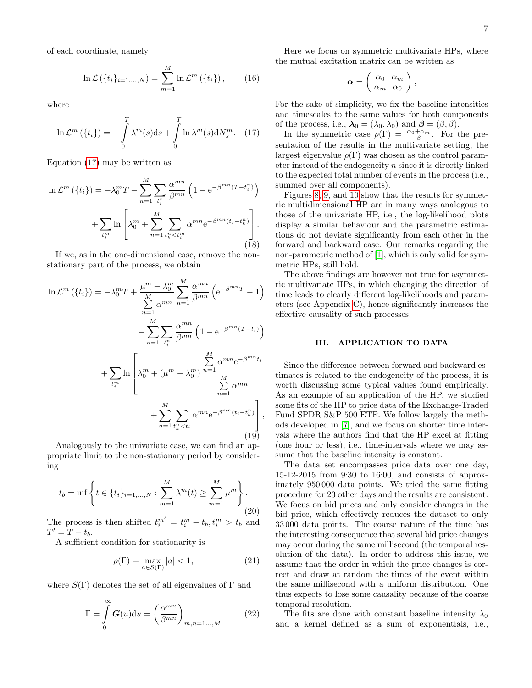of each coordinate, namely

$$
\ln \mathcal{L}(\{t_i\}_{i=1,...,N}) = \sum_{m=1}^{M} \ln \mathcal{L}^m(\{t_i\}), \qquad (16)
$$

where

<span id="page-6-1"></span>
$$
\ln \mathcal{L}^m\left(\{t_i\}\right) = -\int\limits_0^T \lambda^m(s) \mathrm{d}s + \int\limits_0^T \ln \lambda^m(s) \mathrm{d}N_s^m. \quad (17)
$$

Equation [\(17\)](#page-6-1) may be written as

$$
\ln \mathcal{L}^m\left(\lbrace t_i \rbrace\right) = -\lambda_0^m T - \sum_{n=1}^M \sum_{t_i^n} \frac{\alpha^{mn}}{\beta^{mn}} \left(1 - e^{-\beta^{mn}(T - t_i^n)}\right) + \sum_{t_i^m} \ln \left[ \lambda_0^m + \sum_{n=1}^M \sum_{t_k^n < t_i^m} \alpha^{mn} e^{-\beta^{mn}(t_i - t_k^n)} \right].
$$
\n(18)

If we, as in the one-dimensional case, remove the nonstationary part of the process, we obtain

$$
\ln \mathcal{L}^m (\lbrace t_i \rbrace) = -\lambda_0^m T + \frac{\mu^m - \lambda_0^m}{\sum\limits_{n=1}^M \alpha^{mn}} \sum\limits_{n=1}^M \frac{\alpha^{mn}}{\beta^{mn}} \left( e^{-\beta^{mn}T} - 1 \right)
$$

$$
- \sum\limits_{n=1}^M \sum\limits_{t_i^n} \frac{\alpha^{mn}}{\beta^{mn}} \left( 1 - e^{-\beta^{mn}(T-t_i)} \right)
$$

$$
+ \sum\limits_{t_i^m} \ln \left[ \lambda_0^m + (\mu^m - \lambda_0^m) \frac{\sum\limits_{n=1}^M \alpha^{mn} e^{-\beta^{mn}t_i}}{\sum\limits_{n=1}^M \alpha^{mn}}
$$

$$
+ \sum\limits_{n=1}^M \sum\limits_{t_k^n < t_i} \alpha^{mn} e^{-\beta^{mn}(t_i - t_k^n)} \right], \tag{19}
$$

Analogously to the univariate case, we can find an appropriate limit to the non-stationary period by considering

$$
t_b = \inf \left\{ t \in \{t_i\}_{i=1,...,N} : \sum_{m=1}^{M} \lambda^m(t) \ge \sum_{m=1}^{M} \mu^m \right\}.
$$
\n(20)

The process is then shifted  $t_i^{m'} = t_i^m - t_b, t_i^m > t_b$  and  $T' = T - t_b.$ 

A sufficient condition for stationarity is

$$
\rho(\Gamma) = \max_{a \in S(\Gamma)} |a| < 1,\tag{21}
$$

where  $S(\Gamma)$  denotes the set of all eigenvalues of  $\Gamma$  and

$$
\Gamma = \int_{0}^{\infty} G(u) \mathrm{d}u = \left(\frac{\alpha^{mn}}{\beta^{mn}}\right)_{m,n=1...,M}
$$
 (22)

Here we focus on symmetric multivariate HPs, where the mutual excitation matrix can be written as

$$
\boldsymbol{\alpha} = \left(\begin{array}{cc} \alpha_0 & \alpha_m \\ \alpha_m & \alpha_0 \end{array}\right),
$$

For the sake of simplicity, we fix the baseline intensities and timescales to the same values for both components of the process, i.e.,  $\lambda_0 = (\lambda_0, \lambda_0)$  and  $\boldsymbol{\beta} = (\beta, \beta)$ .

In the symmetric case  $\rho(\Gamma) = \frac{\alpha_0 + \alpha_m}{\beta}$ . For the presentation of the results in the multivariate setting, the largest eigenvalue  $\rho(\Gamma)$  was chosen as the control parameter instead of the endogeneity  $n$  since it is directly linked to the expected total number of events in the process (i.e., summed over all components).

Figures [8,](#page-7-0) [9,](#page-7-1) and [10](#page-8-0) show that the results for symmetric multidimensional HP are in many ways analogous to those of the univariate HP, i.e., the log-likelihood plots display a similar behaviour and the parametric estimations do not deviate significantly from each other in the forward and backward case. Our remarks regarding the non-parametric method of [\[1\]](#page-9-12), which is only valid for symmetric HPs, still hold.

The above findings are however not true for asymmetric multivariate HPs, in which changing the direction of time leads to clearly different log-likelihoods and parameters (see Appendix [C\)](#page-10-0), hence significantly increases the effective causality of such processes.

# <span id="page-6-0"></span>III. APPLICATION TO DATA

Since the difference between forward and backward estimates is related to the endogeneity of the process, it is worth discussing some typical values found empirically. As an example of an application of the HP, we studied some fits of the HP to price data of the Exchange-Traded Fund SPDR S&P 500 ETF. We follow largely the methods developed in [\[7\]](#page-9-9), and we focus on shorter time intervals where the authors find that the HP excel at fitting (one hour or less), i.e., time-intervals where we may assume that the baseline intensity is constant.

The data set encompasses price data over one day, 15-12-2015 from 9:30 to 16:00, and consists of approximately 950 000 data points. We tried the same fitting procedure for 23 other days and the results are consistent. We focus on bid prices and only consider changes in the bid price, which effectively reduces the dataset to only 33 000 data points. The coarse nature of the time has the interesting consequence that several bid price changes may occur during the same millisecond (the temporal resolution of the data). In order to address this issue, we assume that the order in which the price changes is correct and draw at random the times of the event within the same millisecond with a uniform distribution. One thus expects to lose some causality because of the coarse temporal resolution.

The fits are done with constant baseline intensity  $\lambda_0$ and a kernel defined as a sum of exponentials, i.e.,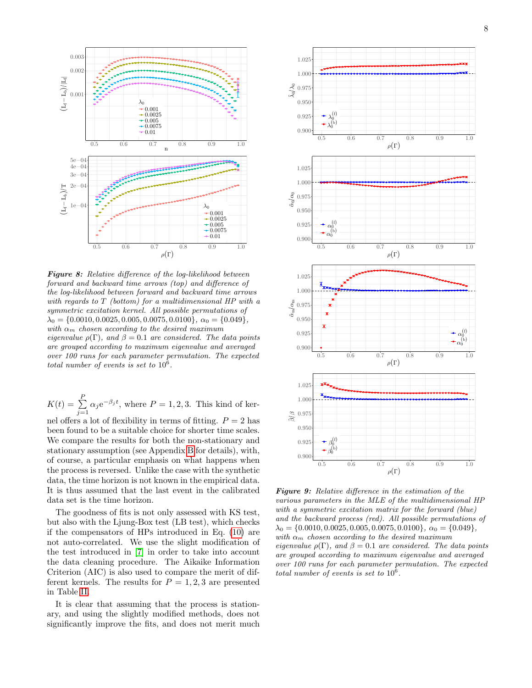<span id="page-7-0"></span>

**Figure 8:** Relative difference of the log-likelihood between forward and backward time arrows (top) and difference of the log-likelihood between forward and backward time arrows with regards to T (bottom) for a multidimensional HP with a symmetric excitation kernel. All possible permutations of  $\lambda_0 = \{0.0010, 0.0025, 0.005, 0.0075, 0.0100\}, \ \alpha_0 = \{0.049\},\$ with  $\alpha_m$  chosen according to the desired maximum eigenvalue  $\rho(\Gamma)$ , and  $\beta = 0.1$  are considered. The data points are grouped according to maximum eigenvalue and averaged over 100 runs for each parameter permutation. The expected total number of events is set to  $10^6$ .

 $K(t) = \sum_{i=1}^{P}$  $\sum_{j=1} \alpha_j e^{-\beta_j t}$ , where  $P = 1, 2, 3$ . This kind of ker-

nel offers a lot of flexibility in terms of fitting.  $P = 2$  has been found to be a suitable choice for shorter time scales. We compare the results for both the non-stationary and stationary assumption (see Appendix [B](#page-10-1) for details), with, of course, a particular emphasis on what happens when the process is reversed. Unlike the case with the synthetic data, the time horizon is not known in the empirical data. It is thus assumed that the last event in the calibrated data set is the time horizon.

The goodness of fits is not only assessed with KS test, but also with the Ljung-Box test (LB test), which checks if the compensators of HPs introduced in Eq. [\(10\)](#page-3-1) are not auto-correlated. We use the slight modification of the test introduced in [\[7\]](#page-9-9) in order to take into account the data cleaning procedure. The Aikaike Information Criterion (AIC) is also used to compare the merit of different kernels. The results for  $P = 1, 2, 3$  are presented in Table [II.](#page-8-1)

It is clear that assuming that the process is stationary, and using the slightly modified methods, does not significantly improve the fits, and does not merit much

<span id="page-7-1"></span>

Figure 9: Relative difference in the estimation of the various parameters in the MLE of the multidimensional HP with a symmetric excitation matrix for the forward (blue) and the backward process (red). All possible permutations of  $\lambda_0 = \{0.0010, 0.0025, 0.005, 0.0075, 0.0100\}, \ \alpha_0 = \{0.049\},\$ with  $\alpha_m$  chosen according to the desired maximum eigenvalue  $\rho(\Gamma)$ , and  $\beta = 0.1$  are considered. The data points are grouped according to maximum eigenvalue and averaged over 100 runs for each parameter permutation. The expected total number of events is set to  $10^6$ .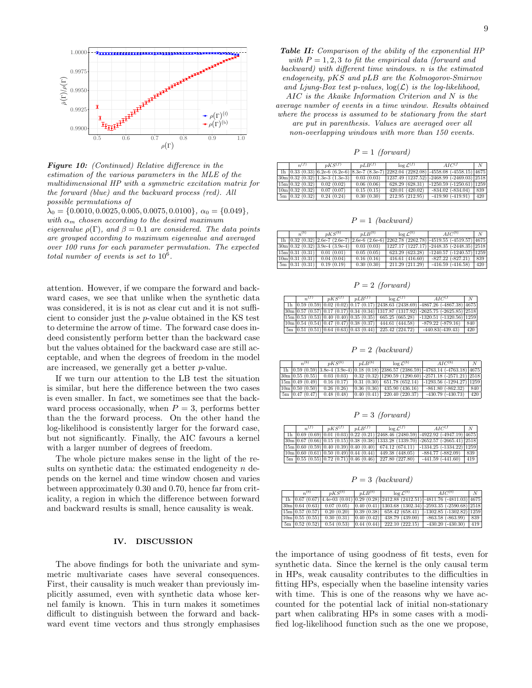<span id="page-8-0"></span>

**Figure 10:** (Continued) Relative difference in the estimation of the various parameters in the MLE of the multidimensional HP with a symmetric excitation matrix for the forward (blue) and the backward process (red). All possible permutations of

 $\lambda_0 = \{0.0010, 0.0025, 0.005, 0.0075, 0.0100\}, \ \alpha_0 = \{0.049\},\$ with  $\alpha_m$  chosen according to the desired maximum eigenvalue  $\rho(\Gamma)$ , and  $\beta = 0.1$  are considered. The data points are grouped according to maximum eigenvalue and averaged over 100 runs for each parameter permutation. The expected total number of events is set to  $10^6$ .

attention. However, if we compare the forward and backward cases, we see that unlike when the synthetic data was considered, it is is not as clear cut and it is not sufficient to consider just the p-value obtained in the KS test to determine the arrow of time. The forward case does indeed consistently perform better than the backward case but the values obtained for the backward case are still acceptable, and when the degrees of freedom in the model are increased, we generally get a better p-value.

If we turn our attention to the LB test the situation is similar, but here the difference between the two cases is even smaller. In fact, we sometimes see that the backward process occasionally, when  $P = 3$ , performs better than the the forward process. On the other hand the log-likelihood is consistently larger for the forward case, but not significantly. Finally, the AIC favours a kernel with a larger number of degrees of freedom.

The whole picture makes sense in the light of the results on synthetic data: the estimated endogeneity  $n$  depends on the kernel and time window chosen and varies between approximately 0.30 and 0.70, hence far from criticality, a region in which the difference between forward and backward results is small, hence causality is weak.

## IV. DISCUSSION

The above findings for both the univariate and symmetric multivariate cases have several consequences. First, their causality is much weaker than previously implicitly assumed, even with synthetic data whose kernel family is known. This in turn makes it sometimes difficult to distinguish between the forward and backward event time vectors and thus strongly emphasises

<span id="page-8-1"></span>Table II: Comparison of the ability of the exponential HP with  $P = 1, 2, 3$  to fit the empirical data (forward and backward) with different time windows. n is the estimated endogeneity, pKS and pLB are the Kolmogorov-Smirnov and Ljung-Box test p-values,  $log(\mathcal{L})$  is the log-likelihood, AIC is the Akaike Information Criterion and N is the average number of events in a time window. Results obtained where the process is assumed to be stationary from the start are put in parenthesis. Values are averaged over all non-overlapping windows with more than 150 events.

 $P = 1$  (forward)

| $n^{(J)}$        | $nKS^{(1)}$                                           | $nLR^{(1)}$ | $\log L^{(1)}$ | $AIC^{(1)}$                                                                                             | $N_{-}$ |
|------------------|-------------------------------------------------------|-------------|----------------|---------------------------------------------------------------------------------------------------------|---------|
|                  |                                                       |             |                | $1h$   0.33 (0.33)   6.2e-6 (6.2e-6)   8.3e-7 (8.3e-7)   2282.04 (2282.08)   -4558.08 (-4558.15)   4675 |         |
|                  | $ 30m 0.32(0.32) 1.3e-3(1.3e-3) 0.03(0.03)$           |             |                | $(1237.49 (1237.52) - 2468.99 (-2469.03) 2518)$                                                         |         |
|                  | [15m 0.32(0.32) 0.02(0.02)]                           | 0.06(0.06)  |                | $628.29(628.31)$ -1250.59 (-1250.61) 1259                                                               |         |
| [10m 0.32(0.32)] | 0.07(0.07)                                            | 0.15(0.15)  | 420.01(420.02) | $-834.02$ $(-834.04)$                                                                                   | 839     |
|                  | $\lceil 5m \rceil 0.32 \ (0.32) \rceil 0.24 \ (0.24)$ | 0.30(0.30)  | 212.95(212.95) | $-419.90(-419.91)$                                                                                      | 420     |

 $P = 1$  (backward)

| $n^{(b)}$ | $n\overline{KS}^{(b)}$                                | $nLR^{(b)}$ | $\log L^{(b)}$ | AIC <sup>(b)</sup>                                                                            | N        |
|-----------|-------------------------------------------------------|-------------|----------------|-----------------------------------------------------------------------------------------------|----------|
|           |                                                       |             |                | 1h $(0.32)(0.32)(2.6e-7)(2.6e-7)(2.6e-6)(2.6e-6)(2262.78)(2262.78)(-4519.55)(-4519.57)(4675)$ |          |
|           | $30m \mid 0.32$ (0.32) $ 3.9e-4(3.9e-4) $ 0.03 (0.03) |             |                | $(1227.17 (1227.17) - 2448.35 (-2448.35) - 2518)$                                             |          |
|           | $15m \mid 0.31 \ (0.31) \mid 0.01 \ (0.01)$           | 0.05(0.05)  |                | $623.29$ $(623.28)$ -1240.57 (-1240.57) 1259                                                  |          |
|           | $10m[0.31(0.31)]$ 0.04 (0.04)                         | 0.16(0.16)  | 416.61(416.60) | $-827.22(-827.21)$ 839                                                                        |          |
|           | $5m$ 0.31 (0.31) 0.19 (0.19)                          | 0.30(0.30)  | 211.29(211.29) | $-416.59$ $(-416.58)$                                                                         | $1\,420$ |

 $P = 2$  (forward)

| n <sub>1</sub> (1) | $nKS^{(J)}$ | $nLR^{(1)}$ | $\log \mathcal{L}^{(f)}$                                                                               | $AIC^{(J)}$                                                                                                                                                                                                                                                  | N   |
|--------------------|-------------|-------------|--------------------------------------------------------------------------------------------------------|--------------------------------------------------------------------------------------------------------------------------------------------------------------------------------------------------------------------------------------------------------------|-----|
|                    |             |             |                                                                                                        | $\frac{1}{10}$ $\frac{1}{20}$ $\frac{1}{20}$ $\frac{1}{20}$ $\frac{1}{20}$ $\frac{1}{20}$ $\frac{1}{20}$ $\frac{1}{20}$ $\frac{1}{20}$ $\frac{1}{2438.63}$ $\frac{1}{2438.63}$ $\frac{1}{2438.69}$ $\frac{1}{24867.26}$ $\frac{1}{2687.38}$ $\frac{1}{4675}$ |     |
|                    |             |             |                                                                                                        | $\left[30\text{m}\left[0.57\left(0.57\right)\left[0.17\left(0.17\right)\left[0.34\left(0.34\right)\right]1317.87\left(1317.92\right)\right]\right]$ -2625.75 (-2625.85) 2518                                                                                 |     |
|                    |             |             |                                                                                                        | $\left[15\text{m}\left(0.53\left(0.53\right)\left(0.40\left(0.40\right)\left(0.35\left(0.35\right)\right)\right)\right.665.25\left(665.28\right)\right]\right]$ $\left[1320.51\left(-1320.56\right)\left[1259\right]\right]$                                 |     |
|                    |             |             | $\boxed{10m \mid 0.54 \ (0.54) \mid 0.47 \ (0.47) \mid 0.38 \ (0.37) \mid 444.61 \ (444.58)}$          | $-879.22$ $(-879.16)$                                                                                                                                                                                                                                        | 840 |
|                    |             |             | $\frac{5m}{0.51}$ (0.51) $\frac{0.64}{0.63}$ (0.63) $\frac{0.43}{0.44}$ (0.44) $\frac{225.42}{224.72}$ | $-440.83(-439.43)$                                                                                                                                                                                                                                           | 420 |

 $P = 2$  (backward)

| $n^{(b)}$ | $nKS^{(b)}$                             | $nLR^{(b)}$ | $\log \overline{\mathcal{L}^{(b)}}$                                                            | $AIC^{(b)}$                                                                                                                                                                                                                                     | N |
|-----------|-----------------------------------------|-------------|------------------------------------------------------------------------------------------------|-------------------------------------------------------------------------------------------------------------------------------------------------------------------------------------------------------------------------------------------------|---|
|           |                                         |             |                                                                                                | $\frac{1 \text{h}}{0.59}$ (0.59) 3.8e-4 (3.9e-4) 0.18 (0.18) 2386.57 (2386.59) -4763.14 (-4763.18) 4675                                                                                                                                         |   |
|           |                                         |             |                                                                                                | $ 30m 0.55(0.55) $ 0.03 (0.03) 0.32 (0.32) 1290.59 (1290.60) -2571.18 (-2571.21) 2518                                                                                                                                                           |   |
|           |                                         |             |                                                                                                | $\left[15\text{m}\left(0.49\left(0.49\right)\right)\right]$ $\left[0.16\left(0.17\right)\right]$ $\left[0.31\left(0.30\right)\right]$ $\left[651.78\left(652.14\right)\right]$ $\left[-1293.56\left(-1294.27\right)\right]$ $\left[1259\right]$ |   |
|           | $[10m \ 0.50 \ (0.50) \ 0.26 \ (0.26)]$ |             |                                                                                                | $\vert 0.36 \vert (0.36) \vert 435.90 \vert (436.16) \vert -861.80 \vert (-862.32) \vert 840 \vert$                                                                                                                                             |   |
|           |                                         |             | $\vert$ 5m $\vert$ 0.47 (0.47) $\vert$ 0.48 (0.48) $\vert$ 0.40 (0.41) $\vert$ 220.40 (220.37) | $-430.79(-430.73)$ 420                                                                                                                                                                                                                          |   |

 $P = 3$  (forward)

| m(J) | $nKS^{(J)}$ | $nLR^{(1)}$ | $\log$ $\mathcal{L}^{(f)}$                                  | $AIC^{(J)}$                                                                                | N   |
|------|-------------|-------------|-------------------------------------------------------------|--------------------------------------------------------------------------------------------|-----|
|      |             |             |                                                             | $\ln$  0.69 (0.69)  0.01 (0.03)  0.22 (0.21)  2468.46 (2480.59)  -4922.92 (-4947.19)  4675 |     |
|      |             |             |                                                             | $30m[0.67 (0.66) [0.15 (0.15) [0.38 (0.38) [1333.28 (1339.70) ]-2652.57 (-2665.41) [2518]$ |     |
|      |             |             |                                                             | $15m(0.60(0.59)(0.40(0.39)(0.40(0.40)(674.12(674.11)-1334.25(-1334.22)(1259)))$            |     |
|      |             |             | $10m(0.60(0.61)(0.50(0.49)(0.44(0.44)(4.49.38(448.05)))$    | $-884.77(-882.09)$                                                                         | 839 |
|      |             |             | $5m$ $(0.55 (0.55) 0.72 (0.71) 0.46 (0.46) 227.80 (227.80)$ | $-441.59(-441.60)$                                                                         | 419 |

 $P = 3$  (backward)

| $n^{(b)}$                    | nKS <sup>(b)</sup> | $nLR^{(b)}$ | $\log \mathcal{L}^{(b)}$                    | $AIC^{(b)}$                                                                                                                                                                                                             | $\mathcal{N}$ |
|------------------------------|--------------------|-------------|---------------------------------------------|-------------------------------------------------------------------------------------------------------------------------------------------------------------------------------------------------------------------------|---------------|
|                              |                    |             |                                             | $1h$   0.67 (0.67)   4.4e-03 (0.01)   0.29 (0.28)   2412.88 (2412.51)   -4811.76 (-4811.03)   4675                                                                                                                      |               |
|                              |                    |             |                                             | $ 30m 0.64(0.63) $ 0.07 (0.05) 0.40 (0.41) $ 1303.68(1302.34) $ -2593.35 (-2590.68) 2518                                                                                                                                |               |
|                              |                    |             |                                             | $\left[15\text{m}\left(0.57\left(0.57\right)\right)\right]$ 0.20 $\left(0.20\right)$ $\left[0.39\left(0.38\right)\right]$ 658.42 $\left(658.41\right)$ $\left[-1302.85\left(-1302.82\right)\right]$ $\left[1259\right]$ |               |
| $\overline{10m}$ 0.55 (0.55) | 0.30(0.31)         | 0.40(0.42)  |                                             | $438.79$ (439.00) $\sim$ 863.58 (-863.99)                                                                                                                                                                               | 839           |
| $5m \mid 0.52 \ (0.52) \mid$ |                    |             | $0.54(0.53)$ $ 0.44(0.44) $ 222.10 (222.15) | $-430.20(-430.30)$                                                                                                                                                                                                      | 419           |

the importance of using goodness of fit tests, even for synthetic data. Since the kernel is the only causal term in HPs, weak causality contributes to the difficulties in fitting HPs, especially when the baseline intensity varies with time. This is one of the reasons why we have accounted for the potential lack of initial non-stationary part when calibrating HPs in some cases with a modified log-likelihood function such as the one we propose,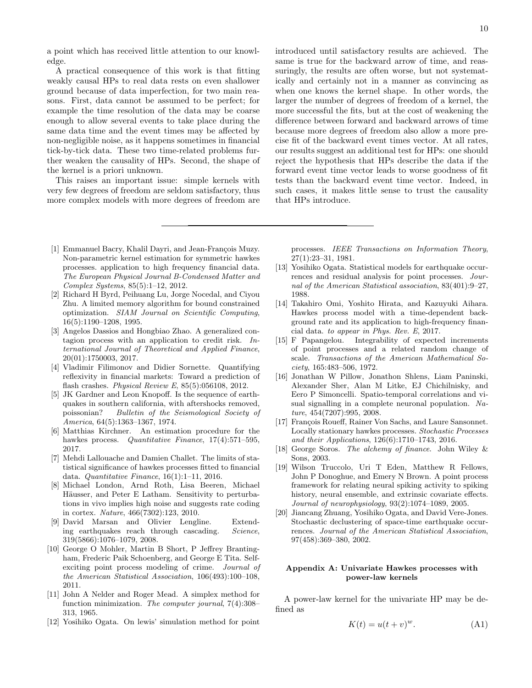a point which has received little attention to our knowledge.

A practical consequence of this work is that fitting weakly causal HPs to real data rests on even shallower ground because of data imperfection, for two main reasons. First, data cannot be assumed to be perfect; for example the time resolution of the data may be coarse enough to allow several events to take place during the same data time and the event times may be affected by non-negligible noise, as it happens sometimes in financial tick-by-tick data. These two time-related problems further weaken the causality of HPs. Second, the shape of the kernel is a priori unknown.

This raises an important issue: simple kernels with very few degrees of freedom are seldom satisfactory, thus more complex models with more degrees of freedom are introduced until satisfactory results are achieved. The same is true for the backward arrow of time, and reassuringly, the results are often worse, but not systematically and certainly not in a manner as convincing as when one knows the kernel shape. In other words, the larger the number of degrees of freedom of a kernel, the more successful the fits, but at the cost of weakening the difference between forward and backward arrows of time because more degrees of freedom also allow a more precise fit of the backward event times vector. At all rates, our results suggest an additional test for HPs: one should reject the hypothesis that HPs describe the data if the forward event time vector leads to worse goodness of fit tests than the backward event time vector. Indeed, in such cases, it makes little sense to trust the causality that HPs introduce.

- <span id="page-9-12"></span>[1] Emmanuel Bacry, Khalil Dayri, and Jean-François Muzy. Non-parametric kernel estimation for symmetric hawkes processes. application to high frequency financial data. The European Physical Journal B-Condensed Matter and Complex Systems, 85(5):1–12, 2012.
- <span id="page-9-19"></span>[2] Richard H Byrd, Peihuang Lu, Jorge Nocedal, and Ciyou Zhu. A limited memory algorithm for bound constrained optimization. SIAM Journal on Scientific Computing, 16(5):1190–1208, 1995.
- <span id="page-9-8"></span>[3] Angelos Dassios and Hongbiao Zhao. A generalized contagion process with an application to credit risk. International Journal of Theoretical and Applied Finance, 20(01):1750003, 2017.
- <span id="page-9-16"></span>[4] Vladimir Filimonov and Didier Sornette. Quantifying reflexivity in financial markets: Toward a prediction of flash crashes. Physical Review E, 85(5):056108, 2012.
- <span id="page-9-0"></span>[5] JK Gardner and Leon Knopoff. Is the sequence of earthquakes in southern california, with aftershocks removed, poissonian? Bulletin of the Seismological Society of America, 64(5):1363–1367, 1974.
- <span id="page-9-11"></span>[6] Matthias Kirchner. An estimation procedure for the hawkes process. Quantitative Finance, 17(4):571-595, 2017.
- <span id="page-9-9"></span>[7] Mehdi Lallouache and Damien Challet. The limits of statistical significance of hawkes processes fitted to financial data. Quantitative Finance, 16(1):1–11, 2016.
- <span id="page-9-5"></span>[8] Michael London, Arnd Roth, Lisa Beeren, Michael Häusser, and Peter E Latham. Sensitivity to perturbations in vivo implies high noise and suggests rate coding in cortex. Nature, 466(7302):123, 2010.
- <span id="page-9-1"></span>[9] David Marsan and Olivier Lengline. Extending earthquakes reach through cascading. Science, 319(5866):1076–1079, 2008.
- <span id="page-9-4"></span>[10] George O Mohler, Martin B Short, P Jeffrey Brantingham, Frederic Paik Schoenberg, and George E Tita. Selfexciting point process modeling of crime. Journal of the American Statistical Association, 106(493):100–108, 2011.
- <span id="page-9-18"></span>[11] John A Nelder and Roger Mead. A simplex method for function minimization. The computer journal, 7(4):308– 313, 1965.
- <span id="page-9-13"></span>[12] Yosihiko Ogata. On lewis' simulation method for point

processes. IEEE Transactions on Information Theory, 27(1):23–31, 1981.

- <span id="page-9-2"></span>[13] Yosihiko Ogata. Statistical models for earthquake occurrences and residual analysis for point processes. Journal of the American Statistical association, 83(401):9–27, 1988.
- <span id="page-9-10"></span>[14] Takahiro Omi, Yoshito Hirata, and Kazuyuki Aihara. Hawkes process model with a time-dependent background rate and its application to high-frequency financial data. to appear in Phys. Rev. E, 2017.
- <span id="page-9-20"></span>[15] F Papangelou. Integrability of expected increments of point processes and a related random change of scale. Transactions of the American Mathematical Society, 165:483–506, 1972.
- <span id="page-9-6"></span>[16] Jonathan W Pillow, Jonathon Shlens, Liam Paninski, Alexander Sher, Alan M Litke, EJ Chichilnisky, and Eero P Simoncelli. Spatio-temporal correlations and visual signalling in a complete neuronal population. Nature, 454(7207):995, 2008.
- <span id="page-9-17"></span>[17] François Roueff, Rainer Von Sachs, and Laure Sansonnet. Locally stationary hawkes processes. Stochastic Processes and their Applications, 126(6):1710–1743, 2016.
- <span id="page-9-15"></span>[18] George Soros. The alchemy of finance. John Wiley & Sons, 2003.
- <span id="page-9-7"></span>[19] Wilson Truccolo, Uri T Eden, Matthew R Fellows, John P Donoghue, and Emery N Brown. A point process framework for relating neural spiking activity to spiking history, neural ensemble, and extrinsic covariate effects. Journal of neurophysiology, 93(2):1074–1089, 2005.
- <span id="page-9-3"></span>[20] Jiancang Zhuang, Yosihiko Ogata, and David Vere-Jones. Stochastic declustering of space-time earthquake occurrences. Journal of the American Statistical Association, 97(458):369–380, 2002.

# <span id="page-9-14"></span>Appendix A: Univariate Hawkes processes with power-law kernels

A power-law kernel for the univariate HP may be defined as

$$
K(t) = u(t+v)^{w}.
$$
 (A1)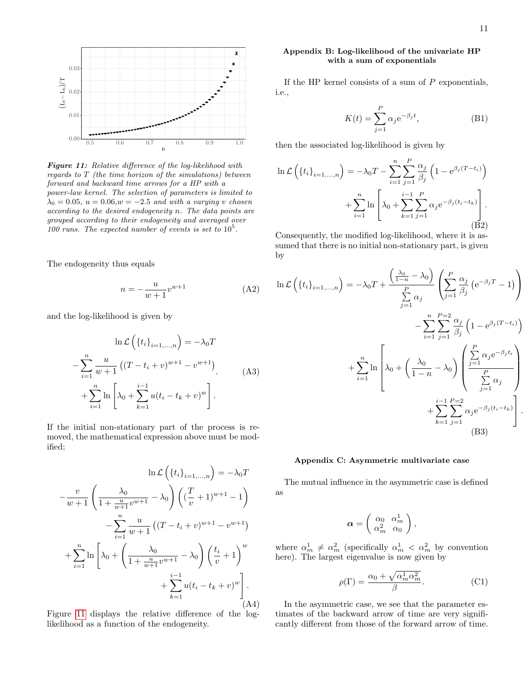<span id="page-10-2"></span>

Figure 11: Relative difference of the log-likelihood with regards to T (the time horizon of the simulations) between forward and backward time arrows for a HP with a power-law kernel. The selection of parameters is limited to  $\lambda_0 = 0.05$ ,  $u = 0.06$ ,  $w = -2.5$  and with a varying v chosen according to the desired endogeneity n. The data points are grouped according to their endogeneity and averaged over 100 runs. The expected number of events is set to  $10^5$ .

The endogeneity thus equals

$$
n = -\frac{u}{w+1}v^{w+1}
$$
 (A2)

and the log-likelihood is given by

$$
\ln \mathcal{L}\left(\{t_i\}_{i=1,...,n}\right) = -\lambda_0 T
$$

$$
-\sum_{i=1}^n \frac{u}{w+1} \left( (T - t_i + v)^{w+1} - v^{w+1} \right)
$$

$$
+\sum_{i=1}^n \ln \left[ \lambda_0 + \sum_{k=1}^{i-1} u(t_i - t_k + v)^w \right].
$$
 (A3)

If the initial non-stationary part of the process is removed, the mathematical expression above must be modified;

$$
\ln \mathcal{L}\left(\{t_i\}_{i=1,...,n}\right) = -\lambda_0 T
$$

$$
-\frac{v}{w+1} \left(\frac{\lambda_0}{1 + \frac{u}{w+1}v^{w+1}} - \lambda_0\right) \left((\frac{T}{v} + 1)^{w+1} - 1\right)
$$

$$
-\sum_{i=1}^n \frac{u}{w+1} \left((T - t_i + v)^{w+1} - v^{w+1}\right)
$$

$$
+\sum_{i=1}^n \ln \left[\lambda_0 + \left(\frac{\lambda_0}{1 + \frac{u}{w+1}v^{w+1}} - \lambda_0\right) \left(\frac{t_i}{v} + 1\right)^w + \sum_{k=1}^{i-1} u(t_i - t_k + v)^w\right].
$$
(A4)

Figure [11](#page-10-2) displays the relative difference of the loglikelihood as a function of the endogeneity.

# <span id="page-10-1"></span>Appendix B: Log-likelihood of the univariate HP with a sum of exponentials

If the HP kernel consists of a sum of  $P$  exponentials, i.e.,

$$
K(t) = \sum_{j=1}^{P} \alpha_j e^{-\beta_j t},
$$
 (B1)

then the associated log-likelihood is given by

$$
\ln \mathcal{L}\left(\left\{t_i\right\}_{i=1,\dots,n}\right) = -\lambda_0 T - \sum_{i=1}^n \sum_{j=1}^P \frac{\alpha_j}{\beta_j} \left(1 - e^{\beta_j (T - t_i)}\right)
$$

$$
+ \sum_{i=1}^n \ln \left[ \lambda_0 + \sum_{k=1}^{i-1} \sum_{j=1}^P \alpha_j e^{-\beta_j (t_i - t_k)} \right].
$$
  
(B2)

Consequently, the modified log-likelihood, where it is assumed that there is no initial non-stationary part, is given by

$$
\ln \mathcal{L}\left(\left\{t_i\right\}_{i=1,...,n}\right) = -\lambda_0 T + \frac{\left(\frac{\lambda_0}{1-n} - \lambda_0\right)}{\sum\limits_{j=1}^{P} \alpha_j} \left(\sum\limits_{j=1}^P \frac{\alpha_j}{\beta_j} \left(e^{-\beta_j T} - 1\right)\right) - \sum\limits_{i=1}^n \sum\limits_{j=1}^{P=2} \frac{\alpha_j}{\beta_j} \left(1 - e^{\beta_j (T - t_i)}\right) + \sum\limits_{i=1}^n \ln \left[\lambda_0 + \left(\frac{\lambda_0}{1-n} - \lambda_0\right) \left(\frac{\sum\limits_{j=1}^P \alpha_j e^{-\beta_j t_i}}{\sum\limits_{j=1}^P \alpha_j}\right) + \sum\limits_{k=1}^{i-1} \sum\limits_{j=1}^{P=2} \alpha_j e^{-\beta_j (t_i - t_k)}\right].
$$
\n(B3)

# <span id="page-10-0"></span>Appendix C: Asymmetric multivariate case

The mutual influence in the asymmetric case is defined as

$$
\boldsymbol{\alpha} = \left(\begin{array}{cc} \alpha_0 & \alpha_m^1 \\ \alpha_m^2 & \alpha_0 \end{array}\right),
$$

where  $\alpha_m^1 \neq \alpha_m^2$  (specifically  $\alpha_m^1 < \alpha_m^2$  by convention here). The largest eigenvalue is now given by

$$
\rho(\Gamma) = \frac{\alpha_0 + \sqrt{\alpha_m^1 \alpha_m^2}}{\beta}.
$$
\n(C1)

In the asymmetric case, we see that the parameter estimates of the backward arrow of time are very significantly different from those of the forward arrow of time.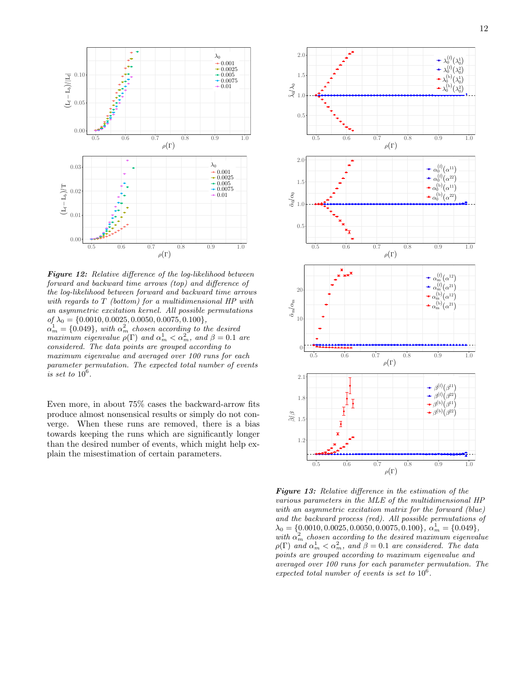

Figure 12: Relative difference of the log-likelihood between forward and backward time arrows (top) and difference of the log-likelihood between forward and backward time arrows with regards to T (bottom) for a multidimensional HP with an asymmetric excitation kernel. All possible permutations  $of \lambda_0 = \{0.0010, 0.0025, 0.0050, 0.0075, 0.100\},\$  $\alpha_m^1 = \{0.049\}$ , with  $\alpha_m^2$  chosen according to the desired maximum eigenvalue  $\rho(\Gamma)$  and  $\alpha_m^1 < \alpha_m^2$ , and  $\beta = 0.1$  are considered. The data points are grouped according to maximum eigenvalue and averaged over 100 runs for each parameter permutation. The expected total number of events is set to  $10^6$ .

Even more, in about 75% cases the backward-arrow fits produce almost nonsensical results or simply do not converge. When these runs are removed, there is a bias towards keeping the runs which are significantly longer than the desired number of events, which might help explain the misestimation of certain parameters.

![](_page_11_Figure_4.jpeg)

Figure 13: Relative difference in the estimation of the various parameters in the MLE of the multidimensional HP with an asymmetric excitation matrix for the forward (blue) and the backward process (red). All possible permutations of  $\lambda_0 = \{0.0010, 0.0025, 0.0050, 0.0075, 0.100\}, \ \alpha_m^1 = \{0.049\},\$ with  $\alpha_m^2$  chosen according to the desired maximum eigenvalue  $\rho(\Gamma)$  and  $\alpha_m^1 < \alpha_m^2$ , and  $\beta = 0.1$  are considered. The data points are grouped according to maximum eigenvalue and averaged over 100 runs for each parameter permutation. The expected total number of events is set to  $10^6$ .